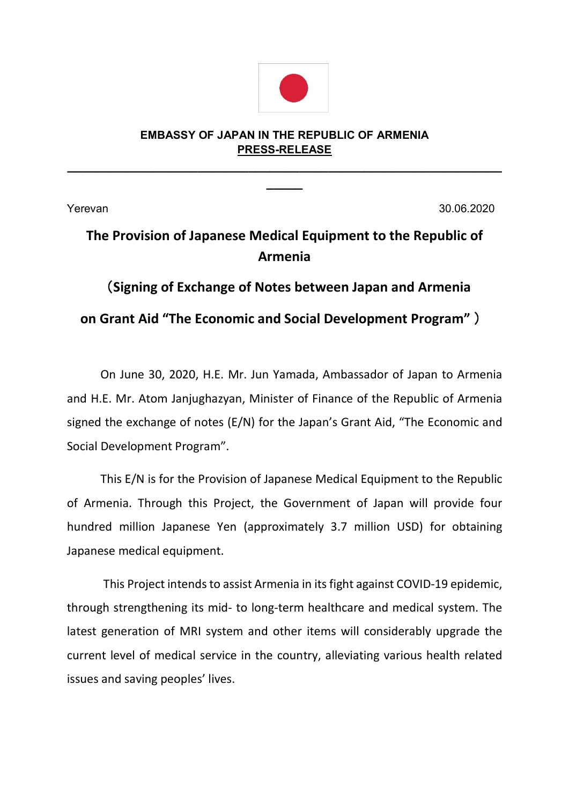

## **EMBASSY OF JAPAN IN THE REPUBLIC OF ARMENIA PRESS-RELEASE**

**\_\_\_\_\_\_\_\_\_\_\_\_\_\_\_\_\_\_\_\_\_\_\_\_\_\_\_\_\_\_\_\_\_\_\_\_\_\_\_\_\_\_\_\_\_\_\_\_\_\_\_\_\_\_\_\_\_\_\_\_ \_\_\_\_\_**

Yerevan 30.06.2020

## **The Provision of Japanese Medical Equipment to the Republic of Armenia**

(**Signing of Exchange of Notes between Japan and Armenia on Grant Aid "The Economic and Social Development Program"** )

On June 30, 2020, H.E. Mr. Jun Yamada, Ambassador of Japan to Armenia and H.E. Mr. Atom Janjughazyan, Minister of Finance of the Republic of Armenia signed the exchange of notes (E/N) for the Japan's Grant Aid, "The Economic and Social Development Program".

This E/N is for the Provision of Japanese Medical Equipment to the Republic of Armenia. Through this Project, the Government of Japan will provide four hundred million Japanese Yen (approximately 3.7 million USD) for obtaining Japanese medical equipment.

This Project intends to assist Armenia in its fight against COVID-19 epidemic, through strengthening its mid- to long-term healthcare and medical system. The latest generation of MRI system and other items will considerably upgrade the current level of medical service in the country, alleviating various health related issues and saving peoples' lives.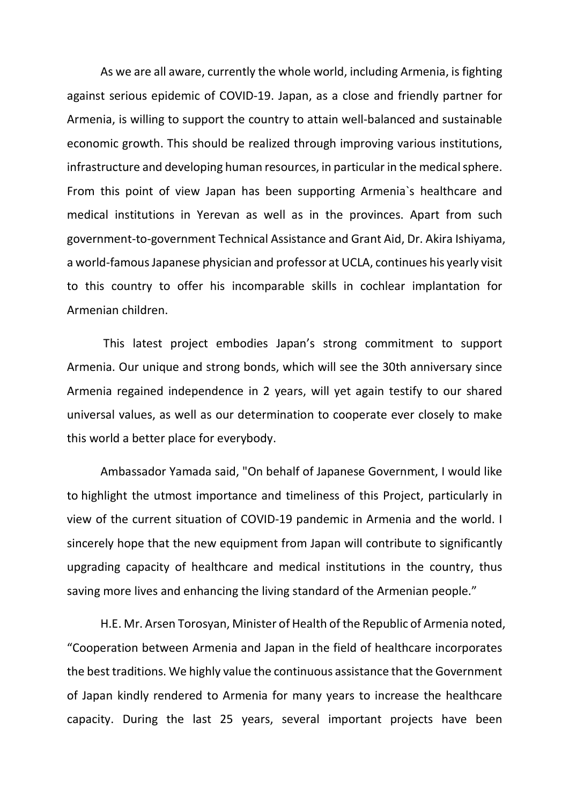As we are all aware, currently the whole world, including Armenia, is fighting against serious epidemic of COVID-19. Japan, as a close and friendly partner for Armenia, is willing to support the country to attain well-balanced and sustainable economic growth. This should be realized through improving various institutions, infrastructure and developing human resources, in particular in the medical sphere. From this point of view Japan has been supporting Armenia`s healthcare and medical institutions in Yerevan as well as in the provinces. Apart from such government-to-government Technical Assistance and Grant Aid, Dr. Akira Ishiyama, a world-famousJapanese physician and professor at UCLA, continues his yearly visit to this country to offer his incomparable skills in cochlear implantation for Armenian children.

This latest project embodies Japan's strong commitment to support Armenia. Our unique and strong bonds, which will see the 30th anniversary since Armenia regained independence in 2 years, will yet again testify to our shared universal values, as well as our determination to cooperate ever closely to make this world a better place for everybody.

Ambassador Yamada said, "On behalf of Japanese Government, I would like to highlight the utmost importance and timeliness of this Project, particularly in view of the current situation of COVID-19 pandemic in Armenia and the world. I sincerely hope that the new equipment from Japan will contribute to significantly upgrading capacity of healthcare and medical institutions in the country, thus saving more lives and enhancing the living standard of the Armenian people."

H.E. Mr. Arsen Torosyan, Minister of Health of the Republic of Armenia noted, "Cooperation between Armenia and Japan in the field of healthcare incorporates the best traditions. We highly value the continuous assistance that the Government of Japan kindly rendered to Armenia for many years to increase the healthcare capacity. During the last 25 years, several important projects have been